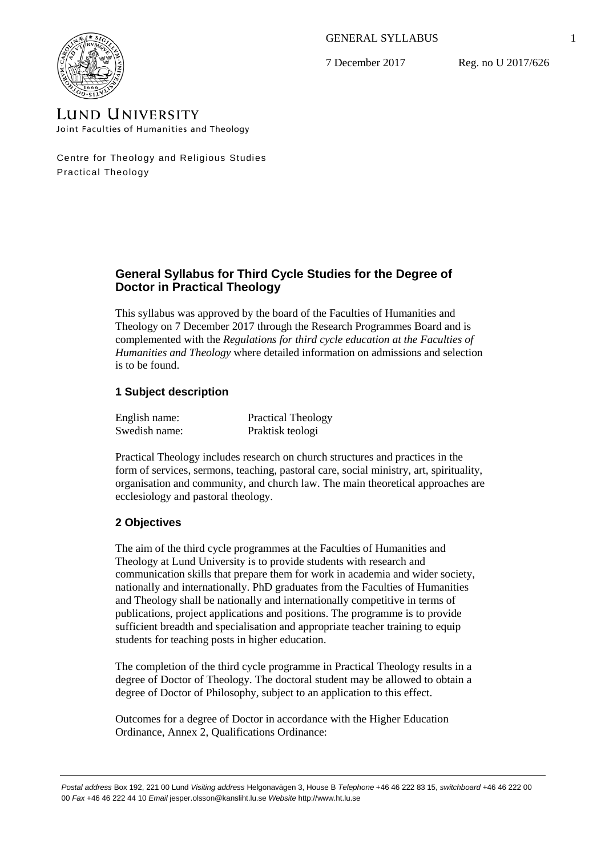GENERAL SYLLABUS

7 December 2017

Reg. no U 2017/626



**LUND UNIVERSITY** Joint Faculties of Humanities and Theology

Centre for Theology and Religious Studies Practical Theology

# **General Syllabus for Third Cycle Studies for the Degree of Doctor in Practical Theology**

This syllabus was approved by the board of the Faculties of Humanities and Theology on 7 December 2017 through the Research Programmes Board and is complemented with the *Regulations for third cycle education at the Faculties of Humanities and Theology* where detailed information on admissions and selection is to be found.

# **1 Subject description**

| English name: | <b>Practical Theology</b> |
|---------------|---------------------------|
| Swedish name: | Praktisk teologi          |

Practical Theology includes research on church structures and practices in the form of services, sermons, teaching, pastoral care, social ministry, art, spirituality, organisation and community, and church law. The main theoretical approaches are ecclesiology and pastoral theology.

# **2 Objectives**

The aim of the third cycle programmes at the Faculties of Humanities and Theology at Lund University is to provide students with research and communication skills that prepare them for work in academia and wider society, nationally and internationally. PhD graduates from the Faculties of Humanities and Theology shall be nationally and internationally competitive in terms of publications, project applications and positions. The programme is to provide sufficient breadth and specialisation and appropriate teacher training to equip students for teaching posts in higher education.

The completion of the third cycle programme in Practical Theology results in a degree of Doctor of Theology. The doctoral student may be allowed to obtain a degree of Doctor of Philosophy, subject to an application to this effect.

Outcomes for a degree of Doctor in accordance with the Higher Education Ordinance, Annex 2, Qualifications Ordinance: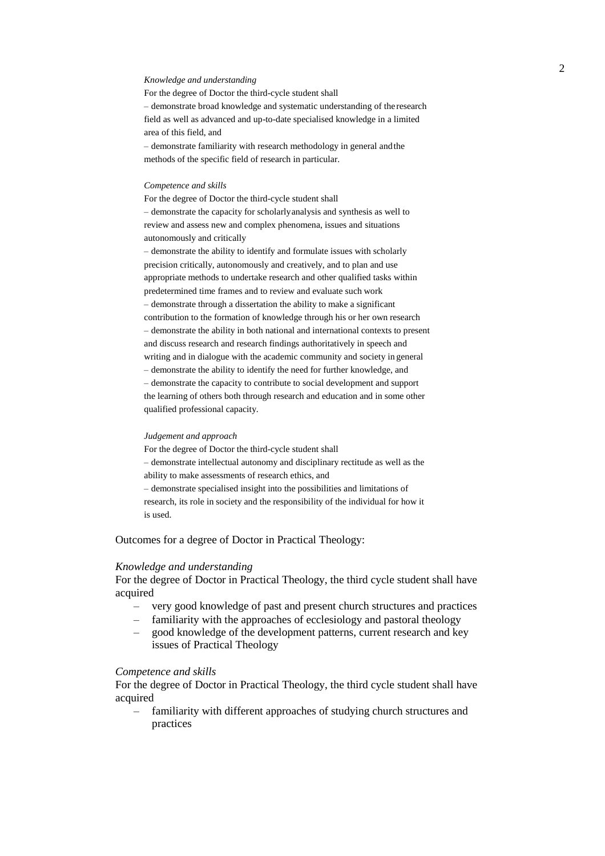#### *Knowledge and understanding*

For the degree of Doctor the third-cycle student shall – demonstrate broad knowledge and systematic understanding of the research field as well as advanced and up-to-date specialised knowledge in a limited area of this field, and – demonstrate familiarity with research methodology in general andthe

methods of the specific field of research in particular.

#### *Competence and skills*

For the degree of Doctor the third-cycle student shall – demonstrate the capacity for scholarlyanalysis and synthesis as well to review and assess new and complex phenomena, issues and situations autonomously and critically

– demonstrate the ability to identify and formulate issues with scholarly precision critically, autonomously and creatively, and to plan and use appropriate methods to undertake research and other qualified tasks within predetermined time frames and to review and evaluate such work – demonstrate through a dissertation the ability to make a significant contribution to the formation of knowledge through his or her own research – demonstrate the ability in both national and international contexts to present and discuss research and research findings authoritatively in speech and writing and in dialogue with the academic community and society in general – demonstrate the ability to identify the need for further knowledge, and – demonstrate the capacity to contribute to social development and support the learning of others both through research and education and in some other qualified professional capacity.

#### *Judgement and approach*

For the degree of Doctor the third-cycle student shall – demonstrate intellectual autonomy and disciplinary rectitude as well as the ability to make assessments of research ethics, and – demonstrate specialised insight into the possibilities and limitations of research, its role in society and the responsibility of the individual for how it is used.

Outcomes for a degree of Doctor in Practical Theology:

#### *Knowledge and understanding*

For the degree of Doctor in Practical Theology, the third cycle student shall have acquired

- very good knowledge of past and present church structures and practices
- familiarity with the approaches of ecclesiology and pastoral theology
- good knowledge of the development patterns, current research and key issues of Practical Theology

### *Competence and skills*

For the degree of Doctor in Practical Theology, the third cycle student shall have acquired

– familiarity with different approaches of studying church structures and practices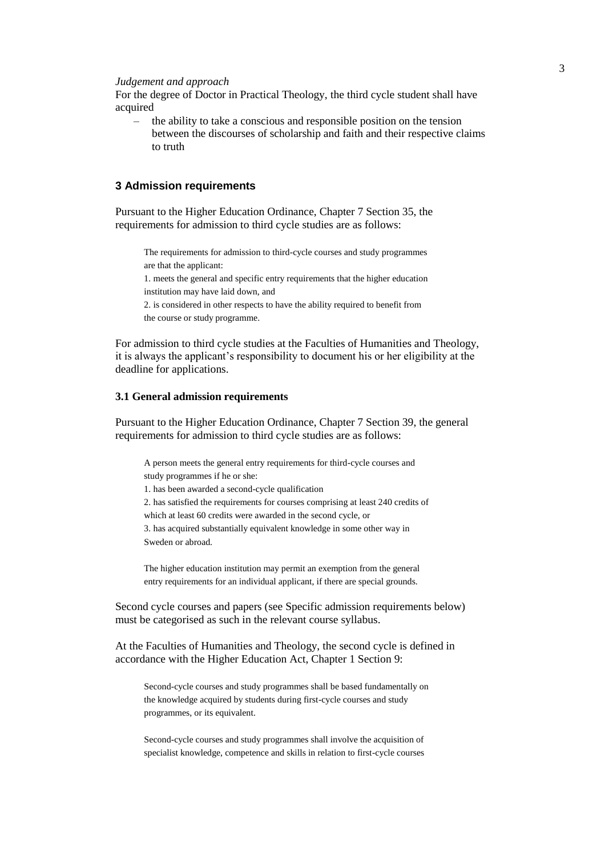#### *Judgement and approach*

For the degree of Doctor in Practical Theology, the third cycle student shall have acquired

– the ability to take a conscious and responsible position on the tension between the discourses of scholarship and faith and their respective claims to truth

## **3 Admission requirements**

Pursuant to the Higher Education Ordinance, Chapter 7 Section 35, the requirements for admission to third cycle studies are as follows:

The requirements for admission to third-cycle courses and study programmes are that the applicant:

1. meets the general and specific entry requirements that the higher education institution may have laid down, and

2. is considered in other respects to have the ability required to benefit from the course or study programme.

For admission to third cycle studies at the Faculties of Humanities and Theology, it is always the applicant's responsibility to document his or her eligibility at the deadline for applications.

## **3.1 General admission requirements**

Pursuant to the Higher Education Ordinance, Chapter 7 Section 39, the general requirements for admission to third cycle studies are as follows:

A person meets the general entry requirements for third-cycle courses and study programmes if he or she:

1. has been awarded a second-cycle qualification

2. has satisfied the requirements for courses comprising at least 240 credits of which at least 60 credits were awarded in the second cycle, or

3. has acquired substantially equivalent knowledge in some other way in Sweden or abroad.

The higher education institution may permit an exemption from the general entry requirements for an individual applicant, if there are special grounds.

Second cycle courses and papers (see Specific admission requirements below) must be categorised as such in the relevant course syllabus.

At the Faculties of Humanities and Theology, the second cycle is defined in accordance with the Higher Education Act, Chapter 1 Section 9:

Second-cycle courses and study programmes shall be based fundamentally on the knowledge acquired by students during first-cycle courses and study programmes, or its equivalent.

Second-cycle courses and study programmes shall involve the acquisition of specialist knowledge, competence and skills in relation to first-cycle courses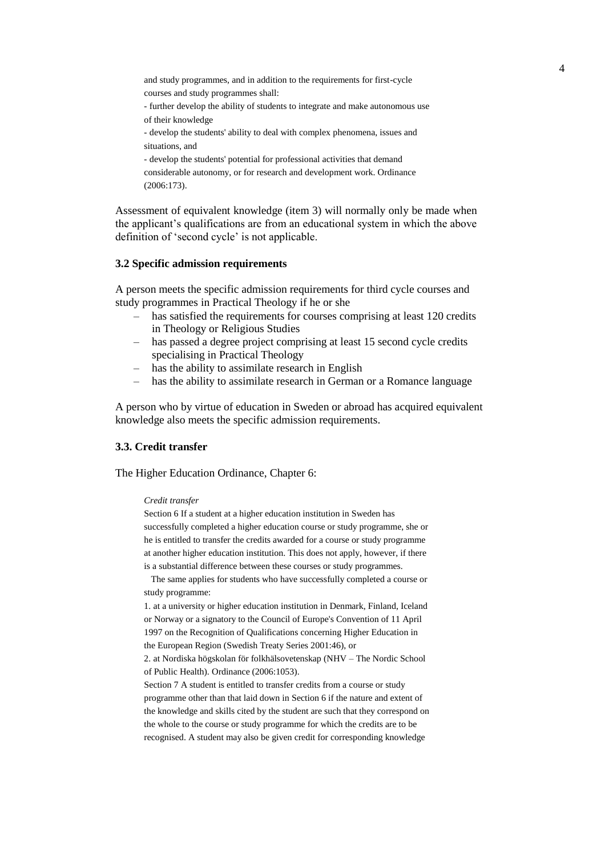and study programmes, and in addition to the requirements for first-cycle courses and study programmes shall:

- further develop the ability of students to integrate and make autonomous use of their knowledge

- develop the students' ability to deal with complex phenomena, issues and situations, and

- develop the students' potential for professional activities that demand

considerable autonomy, or for research and development work. Ordinance (2006:173).

Assessment of equivalent knowledge (item 3) will normally only be made when the applicant's qualifications are from an educational system in which the above definition of 'second cycle' is not applicable.

## **3.2 Specific admission requirements**

A person meets the specific admission requirements for third cycle courses and study programmes in Practical Theology if he or she

- has satisfied the requirements for courses comprising at least 120 credits in Theology or Religious Studies
- has passed a degree project comprising at least 15 second cycle credits specialising in Practical Theology
- has the ability to assimilate research in English
- has the ability to assimilate research in German or a Romance language

A person who by virtue of education in Sweden or abroad has acquired equivalent knowledge also meets the specific admission requirements.

## **3.3. Credit transfer**

The Higher Education Ordinance, Chapter 6:

#### *Credit transfer*

Section 6 If a student at a higher education institution in Sweden has successfully completed a higher education course or study programme, she or he is entitled to transfer the credits awarded for a course or study programme at another higher education institution. This does not apply, however, if there is a substantial difference between these courses or study programmes.

The same applies for students who have successfully completed a course or study programme:

1. at a university or higher education institution in Denmark, Finland, Iceland or Norway or a signatory to the Council of Europe's Convention of 11 April 1997 on the Recognition of Qualifications concerning Higher Education in the European Region (Swedish Treaty Series 2001:46), or

2. at Nordiska högskolan för folkhälsovetenskap (NHV – The Nordic School of Public Health). Ordinance (2006:1053).

Section 7 A student is entitled to transfer credits from a course or study programme other than that laid down in Section 6 if the nature and extent of the knowledge and skills cited by the student are such that they correspond on the whole to the course or study programme for which the credits are to be recognised. A student may also be given credit for corresponding knowledge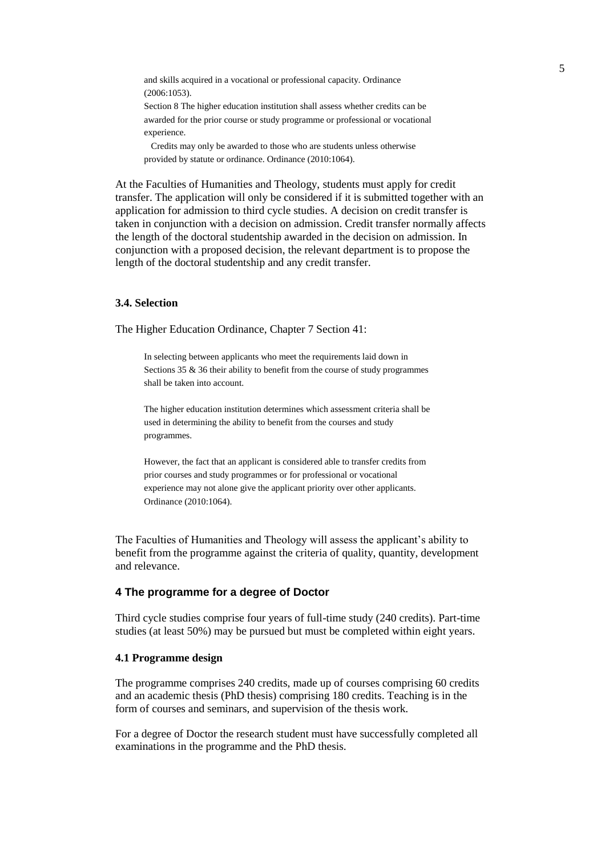and skills acquired in a vocational or professional capacity. Ordinance (2006:1053).

Section 8 The higher education institution shall assess whether credits can be awarded for the prior course or study programme or professional or vocational experience.

Credits may only be awarded to those who are students unless otherwise provided by statute or ordinance. Ordinance (2010:1064).

At the Faculties of Humanities and Theology, students must apply for credit transfer. The application will only be considered if it is submitted together with an application for admission to third cycle studies. A decision on credit transfer is taken in conjunction with a decision on admission. Credit transfer normally affects the length of the doctoral studentship awarded in the decision on admission. In conjunction with a proposed decision, the relevant department is to propose the length of the doctoral studentship and any credit transfer.

## **3.4. Selection**

The Higher Education Ordinance, Chapter 7 Section 41:

In selecting between applicants who meet the requirements laid down in Sections 35 & 36 their ability to benefit from the course of study programmes shall be taken into account.

The higher education institution determines which assessment criteria shall be used in determining the ability to benefit from the courses and study programmes.

However, the fact that an applicant is considered able to transfer credits from prior courses and study programmes or for professional or vocational experience may not alone give the applicant priority over other applicants. Ordinance (2010:1064).

The Faculties of Humanities and Theology will assess the applicant's ability to benefit from the programme against the criteria of quality, quantity, development and relevance.

# **4 The programme for a degree of Doctor**

Third cycle studies comprise four years of full-time study (240 credits). Part-time studies (at least 50%) may be pursued but must be completed within eight years.

## **4.1 Programme design**

The programme comprises 240 credits, made up of courses comprising 60 credits and an academic thesis (PhD thesis) comprising 180 credits. Teaching is in the form of courses and seminars, and supervision of the thesis work.

For a degree of Doctor the research student must have successfully completed all examinations in the programme and the PhD thesis.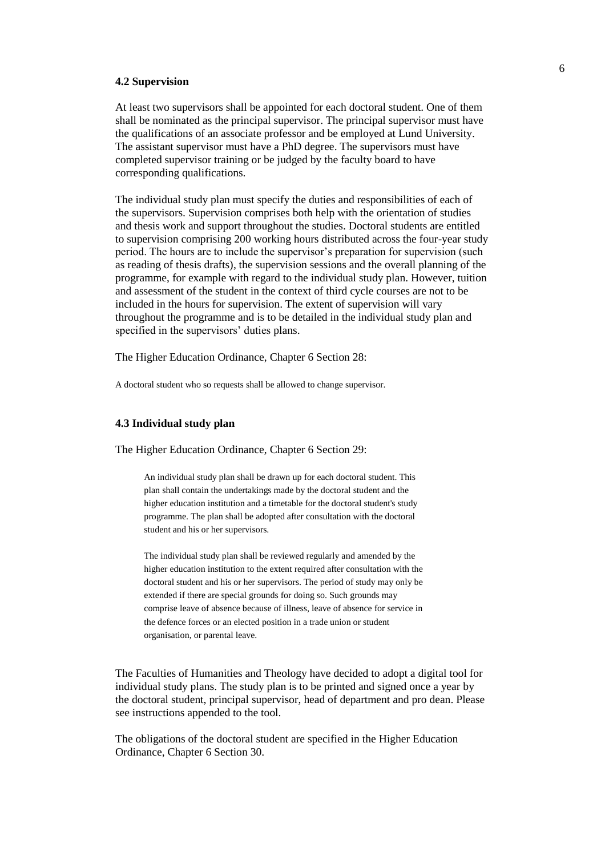#### **4.2 Supervision**

At least two supervisors shall be appointed for each doctoral student. One of them shall be nominated as the principal supervisor. The principal supervisor must have the qualifications of an associate professor and be employed at Lund University. The assistant supervisor must have a PhD degree. The supervisors must have completed supervisor training or be judged by the faculty board to have corresponding qualifications.

The individual study plan must specify the duties and responsibilities of each of the supervisors. Supervision comprises both help with the orientation of studies and thesis work and support throughout the studies. Doctoral students are entitled to supervision comprising 200 working hours distributed across the four-year study period. The hours are to include the supervisor's preparation for supervision (such as reading of thesis drafts), the supervision sessions and the overall planning of the programme, for example with regard to the individual study plan. However, tuition and assessment of the student in the context of third cycle courses are not to be included in the hours for supervision. The extent of supervision will vary throughout the programme and is to be detailed in the individual study plan and specified in the supervisors' duties plans.

The Higher Education Ordinance, Chapter 6 Section 28:

A doctoral student who so requests shall be allowed to change supervisor.

# **4.3 Individual study plan**

The Higher Education Ordinance, Chapter 6 Section 29:

An individual study plan shall be drawn up for each doctoral student. This plan shall contain the undertakings made by the doctoral student and the higher education institution and a timetable for the doctoral student's study programme. The plan shall be adopted after consultation with the doctoral student and his or her supervisors.

The individual study plan shall be reviewed regularly and amended by the higher education institution to the extent required after consultation with the doctoral student and his or her supervisors. The period of study may only be extended if there are special grounds for doing so. Such grounds may comprise leave of absence because of illness, leave of absence for service in the defence forces or an elected position in a trade union or student organisation, or parental leave.

The Faculties of Humanities and Theology have decided to adopt a digital tool for individual study plans. The study plan is to be printed and signed once a year by the doctoral student, principal supervisor, head of department and pro dean. Please see instructions appended to the tool.

The obligations of the doctoral student are specified in the Higher Education Ordinance, Chapter 6 Section 30.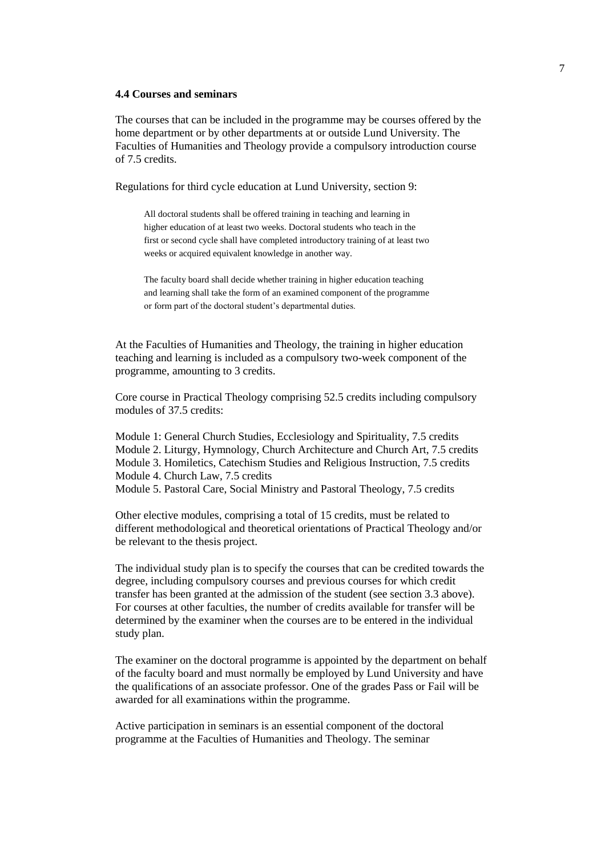## **4.4 Courses and seminars**

The courses that can be included in the programme may be courses offered by the home department or by other departments at or outside Lund University. The Faculties of Humanities and Theology provide a compulsory introduction course of 7.5 credits.

Regulations for third cycle education at Lund University, section 9:

All doctoral students shall be offered training in teaching and learning in higher education of at least two weeks. Doctoral students who teach in the first or second cycle shall have completed introductory training of at least two weeks or acquired equivalent knowledge in another way.

The faculty board shall decide whether training in higher education teaching and learning shall take the form of an examined component of the programme or form part of the doctoral student's departmental duties.

At the Faculties of Humanities and Theology, the training in higher education teaching and learning is included as a compulsory two-week component of the programme, amounting to 3 credits.

Core course in Practical Theology comprising 52.5 credits including compulsory modules of 37.5 credits:

Module 1: General Church Studies, Ecclesiology and Spirituality, 7.5 credits Module 2. Liturgy, Hymnology, Church Architecture and Church Art, 7.5 credits Module 3. Homiletics, Catechism Studies and Religious Instruction, 7.5 credits Module 4. Church Law, 7.5 credits Module 5. Pastoral Care, Social Ministry and Pastoral Theology, 7.5 credits

Other elective modules, comprising a total of 15 credits, must be related to different methodological and theoretical orientations of Practical Theology and/or be relevant to the thesis project.

The individual study plan is to specify the courses that can be credited towards the degree, including compulsory courses and previous courses for which credit transfer has been granted at the admission of the student (see section 3.3 above). For courses at other faculties, the number of credits available for transfer will be determined by the examiner when the courses are to be entered in the individual study plan.

The examiner on the doctoral programme is appointed by the department on behalf of the faculty board and must normally be employed by Lund University and have the qualifications of an associate professor. One of the grades Pass or Fail will be awarded for all examinations within the programme.

Active participation in seminars is an essential component of the doctoral programme at the Faculties of Humanities and Theology. The seminar